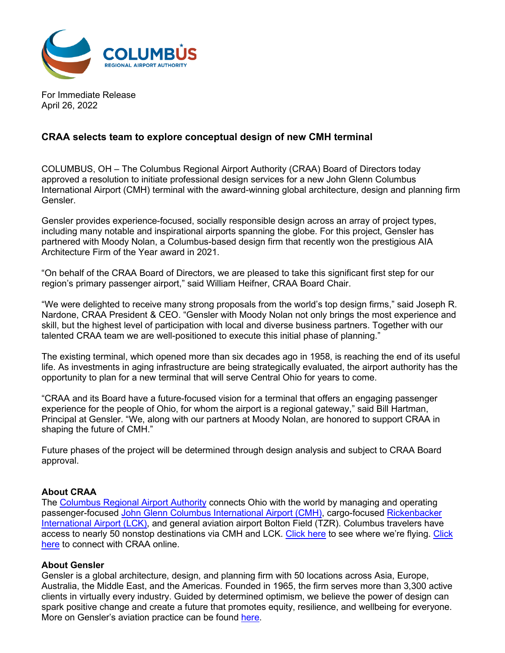

For Immediate Release April 26, 2022

# **CRAA selects team to explore conceptual design of new CMH terminal**

COLUMBUS, OH – The Columbus Regional Airport Authority (CRAA) Board of Directors today approved a resolution to initiate professional design services for a new John Glenn Columbus International Airport (CMH) terminal with the award-winning global architecture, design and planning firm Gensler.

Gensler provides experience-focused, socially responsible design across an array of project types, including many notable and inspirational airports spanning the globe. For this project, Gensler has partnered with Moody Nolan, a Columbus-based design firm that recently won the prestigious AIA Architecture Firm of the Year award in 2021.

"On behalf of the CRAA Board of Directors, we are pleased to take this significant first step for our region's primary passenger airport," said William Heifner, CRAA Board Chair.

"We were delighted to receive many strong proposals from the world's top design firms," said Joseph R. Nardone, CRAA President & CEO. "Gensler with Moody Nolan not only brings the most experience and skill, but the highest level of participation with local and diverse business partners. Together with our talented CRAA team we are well-positioned to execute this initial phase of planning."

The existing terminal, which opened more than six decades ago in 1958, is reaching the end of its useful life. As investments in aging infrastructure are being strategically evaluated, the airport authority has the opportunity to plan for a new terminal that will serve Central Ohio for years to come.

"CRAA and its Board have a future-focused vision for a terminal that offers an engaging passenger experience for the people of Ohio, for whom the airport is a regional gateway," said Bill Hartman, Principal at Gensler. "We, along with our partners at Moody Nolan, are honored to support CRAA in shaping the future of CMH."

Future phases of the project will be determined through design analysis and subject to CRAA Board approval.

### **About CRAA**

The [Columbus Regional Airport Authority](https://columbusairports.com/) connects Ohio with the world by managing and operating passenger-focused [John Glenn Columbus International Airport \(CMH\),](https://flycolumbus.com/) cargo-focused [Rickenbacker](https://rickenbackeradvantage.com/)  [International Airport \(LCK\),](https://rickenbackeradvantage.com/) and general aviation airport Bolton Field (TZR). Columbus travelers have access to nearly 50 nonstop destinations via CMH and LCK. [Click here](https://flycolumbus.com/flights/destinations-from-columbus) to see where we're flying. Click [here](https://flycolumbus.com/connect-with-us) to connect with CRAA online.

### **About Gensler**

Gensler is a global architecture, design, and planning firm with 50 locations across Asia, Europe, Australia, the Middle East, and the Americas. Founded in 1965, the firm serves more than 3,300 active clients in virtually every industry. Guided by determined optimism, we believe the power of design can spark positive change and create a future that promotes equity, resilience, and wellbeing for everyone. More on Gensler's aviation practice can be found [here.](https://www.gensler.com/expertise/aviation)